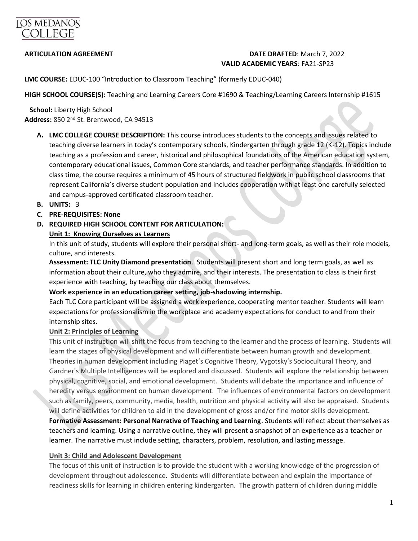

# **ARTICULATION AGREEMENT DATE DRAFTED**: March 7, 2022 **VALID ACADEMIC YEARS**: FA21-SP23

**LMC COURSE:** EDUC-100 "Introduction to Classroom Teaching" (formerly EDUC-040)

**HIGH SCHOOL COURSE(S):** Teaching and Learning Careers Core #1690 & Teaching/Learning Careers Internship #1615

 **School:** Liberty High School **Address:** 850 2nd St. Brentwood, CA 94513

- **A. LMC COLLEGE COURSE DESCRIPTION:** This course introduces students to the concepts and issues related to teaching diverse learners in today's contemporary schools, Kindergarten through grade 12 (K-12). Topics include teaching as a profession and career, historical and philosophical foundations of the American education system, contemporary educational issues, Common Core standards, and teacher performance standards. In addition to class time, the course requires a minimum of 45 hours of structured fieldwork in public school classrooms that represent California's diverse student population and includes cooperation with at least one carefully selected and campus-approved certificated classroom teacher.
- **B. UNITS:** 3
- **C. PRE-REQUISITES: None**
- **D. REQUIRED HIGH SCHOOL CONTENT FOR ARTICULATION:**

## **Unit 1: Knowing Ourselves as Learners**

In this unit of study, students will explore their personal short- and long-term goals, as well as their role models, culture, and interests.

**Assessment: TLC Unity Diamond presentation**. Students will present short and long term goals, as well as information about their culture, who they admire, and their interests. The presentation to class is their first experience with teaching, by teaching our class about themselves.

#### **Work experience in an education career setting, job-shadowing internship.**

Each TLC Core participant will be assigned a work experience, cooperating mentor teacher. Students will learn expectations for professionalism in the workplace and academy expectations for conduct to and from their internship sites.

#### **Unit 2: Principles of Learning**

This unit of instruction will shift the focus from teaching to the learner and the process of learning. Students will learn the stages of physical development and will differentiate between human growth and development. Theories in human development including Piaget's Cognitive Theory, Vygotsky's Sociocultural Theory, and Gardner's Multiple Intelligences will be explored and discussed. Students will explore the relationship between physical, cognitive, social, and emotional development. Students will debate the importance and influence of heredity versus environment on human development. The influences of environmental factors on development such as family, peers, community, media, health, nutrition and physical activity will also be appraised. Students will define activities for children to aid in the development of gross and/or fine motor skills development. **Formative Assessment: Personal Narrative of Teaching and Learning**. Students will reflect about themselves as teachers and learning. Using a narrative outline, they will present a snapshot of an experience as a teacher or learner. The narrative must include setting, characters, problem, resolution, and lasting message.

#### **Unit 3: Child and Adolescent Development**

The focus of this unit of instruction is to provide the student with a working knowledge of the progression of development throughout adolescence. Students will differentiate between and explain the importance of readiness skills for learning in children entering kindergarten. The growth pattern of children during middle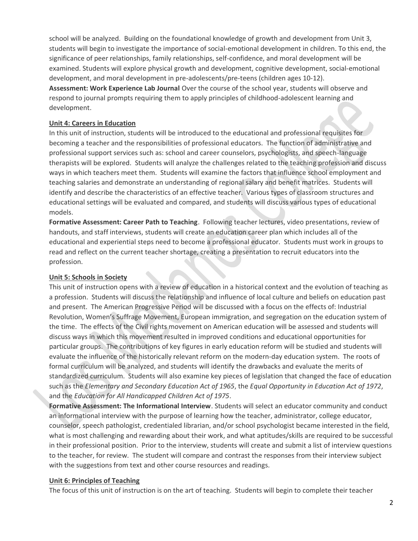school will be analyzed. Building on the foundational knowledge of growth and development from Unit 3, students will begin to investigate the importance of social-emotional development in children. To this end, the significance of peer relationships, family relationships, self-confidence, and moral development will be examined. Students will explore physical growth and development, cognitive development, social-emotional development, and moral development in pre-adolescents/pre-teens (children ages 10-12). **Assessment: Work Experience Lab Journal** Over the course of the school year, students will observe and respond to journal prompts requiring them to apply principles of childhood-adolescent learning and development.

#### **Unit 4: Careers in Education**

In this unit of instruction, students will be introduced to the educational and professional requisites for becoming a teacher and the responsibilities of professional educators. The function of administrative and professional support services such as: school and career counselors, psychologists, and speech-language therapists will be explored. Students will analyze the challenges related to the teaching profession and discuss ways in which teachers meet them. Students will examine the factors that influence school employment and teaching salaries and demonstrate an understanding of regional salary and benefit matrices. Students will identify and describe the characteristics of an effective teacher. Various types of classroom structures and educational settings will be evaluated and compared, and students will discuss various types of educational models.

**Formative Assessment: Career Path to Teaching**. Following teacher lectures, video presentations, review of handouts, and staff interviews, students will create an education career plan which includes all of the educational and experiential steps need to become a professional educator. Students must work in groups to read and reflect on the current teacher shortage, creating a presentation to recruit educators into the profession.

#### **Unit 5: Schools in Society**

This unit of instruction opens with a review of education in a historical context and the evolution of teaching as a profession. Students will discuss the relationship and influence of local culture and beliefs on education past and present. The American Progressive Period will be discussed with a focus on the effects of: Industrial Revolution, Women's Suffrage Movement, European immigration, and segregation on the education system of the time. The effects of the Civil rights movement on American education will be assessed and students will discuss ways in which this movement resulted in improved conditions and educational opportunities for particular groups. The contributions of key figures in early education reform will be studied and students will evaluate the influence of the historically relevant reform on the modern-day education system. The roots of formal curriculum will be analyzed, and students will identify the drawbacks and evaluate the merits of standardized curriculum. Students will also examine key pieces of legislation that changed the face of education such as the *Elementary and Secondary Education Act of 1965*, the *Equal Opportunity in Education Act of 1972*, and the *Education for All Handicapped Children Act of 1975*.

**Formative Assessment: The Informational Interview**. Students will select an educator community and conduct an informational interview with the purpose of learning how the teacher, administrator, college educator, counselor, speech pathologist, credentialed librarian, and/or school psychologist became interested in the field, what is most challenging and rewarding about their work, and what aptitudes/skills are required to be successful in their professional position. Prior to the interview, students will create and submit a list of interview questions to the teacher, for review. The student will compare and contrast the responses from their interview subject with the suggestions from text and other course resources and readings.

#### **Unit 6: Principles of Teaching**

The focus of this unit of instruction is on the art of teaching. Students will begin to complete their teacher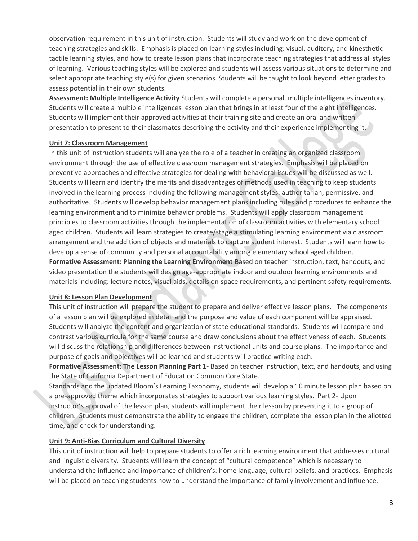observation requirement in this unit of instruction. Students will study and work on the development of teaching strategies and skills. Emphasis is placed on learning styles including: visual, auditory, and kinesthetictactile learning styles, and how to create lesson plans that incorporate teaching strategies that address all styles of learning. Various teaching styles will be explored and students will assess various situations to determine and select appropriate teaching style(s) for given scenarios. Students will be taught to look beyond letter grades to assess potential in their own students.

**Assessment: Multiple Intelligence Activity** Students will complete a personal, multiple intelligences inventory. Students will create a multiple intelligences lesson plan that brings in at least four of the eight intelligences. Students will implement their approved activities at their training site and create an oral and written presentation to present to their classmates describing the activity and their experience implementing it.

## **Unit 7: Classroom Management**

In this unit of instruction students will analyze the role of a teacher in creating an organized classroom environment through the use of effective classroom management strategies. Emphasis will be placed on preventive approaches and effective strategies for dealing with behavioral issues will be discussed as well. Students will learn and identify the merits and disadvantages of methods used in teaching to keep students involved in the learning process including the following management styles: authoritarian, permissive, and authoritative. Students will develop behavior management plans including rules and procedures to enhance the learning environment and to minimize behavior problems. Students will apply classroom management principles to classroom activities through the implementation of classroom activities with elementary school aged children. Students will learn strategies to create/stage a stimulating learning environment via classroom arrangement and the addition of objects and materials to capture student interest. Students will learn how to develop a sense of community and personal accountability among elementary school aged children. **Formative Assessment: Planning the Learning Environment** Based on teacher instruction, text, handouts, and video presentation the students will design age-appropriate indoor and outdoor learning environments and materials including: lecture notes, visual aids, details on space requirements, and pertinent safety requirements.

#### **Unit 8: Lesson Plan Development**

This unit of instruction will prepare the student to prepare and deliver effective lesson plans. The components of a lesson plan will be explored in detail and the purpose and value of each component will be appraised. Students will analyze the content and organization of state educational standards. Students will compare and contrast various curricula for the same course and draw conclusions about the effectiveness of each. Students will discuss the relationship and differences between instructional units and course plans. The importance and purpose of goals and objectives will be learned and students will practice writing each.

**Formative Assessment: The Lesson Planning Part 1**- Based on teacher instruction, text, and handouts, and using the State of California Department of Education Common Core State.

Standards and the updated Bloom's Learning Taxonomy, students will develop a 10 minute lesson plan based on a pre-approved theme which incorporates strategies to support various learning styles. Part 2- Upon instructor's approval of the lesson plan, students will implement their lesson by presenting it to a group of children. Students must demonstrate the ability to engage the children, complete the lesson plan in the allotted time, and check for understanding.

# **Unit 9: Anti-Bias Curriculum and Cultural Diversity**

This unit of instruction will help to prepare students to offer a rich learning environment that addresses cultural and linguistic diversity. Students will learn the concept of "cultural competence" which is necessary to understand the influence and importance of children's: home language, cultural beliefs, and practices. Emphasis will be placed on teaching students how to understand the importance of family involvement and influence.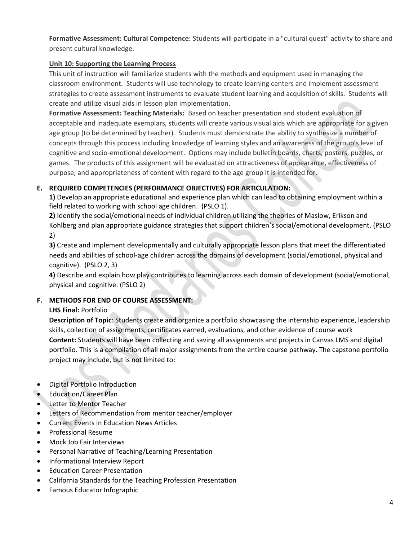**Formative Assessment: Cultural Competence:** Students will participate in a "cultural quest" activity to share and present cultural knowledge.

# **Unit 10: Supporting the Learning Process**

This unit of instruction will familiarize students with the methods and equipment used in managing the classroom environment. Students will use technology to create learning centers and implement assessment strategies to create assessment instruments to evaluate student learning and acquisition of skills. Students will create and utilize visual aids in lesson plan implementation.

**Formative Assessment: Teaching Materials:** Based on teacher presentation and student evaluation of acceptable and inadequate exemplars, students will create various visual aids which are appropriate for a given age group (to be determined by teacher). Students must demonstrate the ability to synthesize a number of concepts through this process including knowledge of learning styles and an awareness of the group's level of cognitive and socio-emotional development. Options may include bulletin boards, charts, posters, puzzles, or games. The products of this assignment will be evaluated on attractiveness of appearance, effectiveness of purpose, and appropriateness of content with regard to the age group it is intended for.

# **E. REQUIRED COMPETENCIES (PERFORMANCE OBJECTIVES) FOR ARTICULATION:**

**1)** Develop an appropriate educational and experience plan which can lead to obtaining employment within a field related to working with school age children. (PSLO 1).

**2)** Identify the social/emotional needs of individual children utilizing the theories of Maslow, Erikson and Kohlberg and plan appropriate guidance strategies that support children's social/emotional development. (PSLO 2)

**3)** Create and implement developmentally and culturally appropriate lesson plans that meet the differentiated needs and abilities of school-age children across the domains of development (social/emotional, physical and cognitive). (PSLO 2, 3)

**4)** Describe and explain how play contributes to learning across each domain of development (social/emotional, physical and cognitive. (PSLO 2)

# **F. METHODS FOR END OF COURSE ASSESSMENT:**

# **LHS Final:** Portfolio

**Description of Topic**: Students create and organize a portfolio showcasing the internship experience, leadership skills, collection of assignments, certificates earned, evaluations, and other evidence of course work **Content:** Students will have been collecting and saving all assignments and projects in Canvas LMS and digital portfolio. This is a compilation of all major assignments from the entire course pathway. The capstone portfolio project may include, but is not limited to:

- Digital Portfolio Introduction
- Education/Career Plan
- **Letter to Mentor Teacher**
- Letters of Recommendation from mentor teacher/employer
- Current Events in Education News Articles
- Professional Resume
- Mock Job Fair Interviews
- Personal Narrative of Teaching/Learning Presentation
- Informational Interview Report
- Education Career Presentation
- California Standards for the Teaching Profession Presentation
- Famous Educator Infographic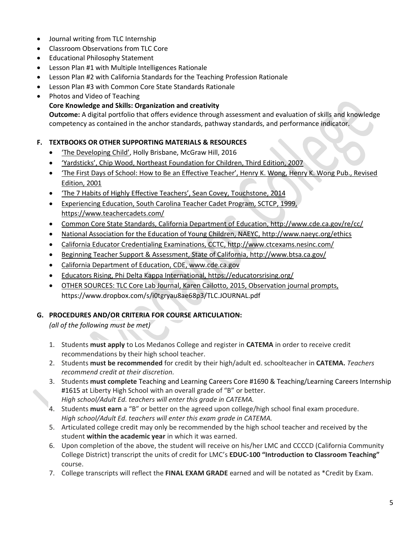- Journal writing from TLC Internship
- Classroom Observations from TLC Core
- Educational Philosophy Statement
- Lesson Plan #1 with Multiple Intelligences Rationale
- Lesson Plan #2 with California Standards for the Teaching Profession Rationale
- Lesson Plan #3 with Common Core State Standards Rationale
- Photos and Video of Teaching
	- **Core Knowledge and Skills: Organization and creativity**

**Outcome:** A digital portfolio that offers evidence through assessment and evaluation of skills and knowledge competency as contained in the anchor standards, pathway standards, and performance indicator.

# **F. TEXTBOOKS OR OTHER SUPPORTING MATERIALS & RESOURCES**

- 'The Developing Child', Holly Brisbane, McGraw Hill, 2016
- 'Yardsticks', Chip Wood, Northeast Foundation for Children, Third Edition, 2007
- 'The First Days of School: How to Be an Effective Teacher', Henry K. Wong, Henry K. Wong Pub., Revised Edition, 2001
- 'The 7 Habits of Highly Effective Teachers', Sean Covey, Touchstone, 2014
- Experiencing Education, South Carolina Teacher Cadet Program, SCTCP, 1999, <https://www.teachercadets.com/>
- Common Core State Standards, California Department of Education,<http://www.cde.ca.gov/re/cc/>
- National Association for the Education of Young Children, NAEYC,<http://www.naeyc.org/ethics>
- California Educator Credentialing Examinations, CCTC,<http://www.ctcexams.nesinc.com/>
- Beginning Teacher Support & Assessment, State of California,<http://www.btsa.ca.gov/>
- California Department of Education, CDE, [www.cde.ca.gov](http://www.cde.ca.gov/)
- Educators Rising, Phi Delta Kappa International,<https://educatorsrising.org/>
- OTHER SOURCES: TLC Core Lab Journal, Karen Cailotto, 2015, Observation journal prompts, <https://www.dropbox.com/s/i0tgryau8ae68p3/TLC.JOURNAL.pdf>

# **G. PROCEDURES AND/OR CRITERIA FOR COURSE ARTICULATION:**

*(all of the following must be met)*

- 1. Students **must apply** to Los Medanos College and register in **CATEMA** in order to receive credit recommendations by their high school teacher.
- 2. Students **must be recommended** for credit by their high/adult ed. schoolteacher in **CATEMA.** *Teachers recommend credit at their discretion.*
- 3. Students **must complete** Teaching and Learning Careers Core #1690 & Teaching/Learning Careers Internship #1615 at Liberty High School with an overall grade of "B" or better. *High school/Adult Ed. teachers will enter this grade in CATEMA.*
- 4. Students **must earn** a "B" or better on the agreed upon college/high school final exam procedure. *High school/Adult Ed. teachers will enter this exam grade in CATEMA.*
- 5. Articulated college credit may only be recommended by the high school teacher and received by the student **within the academic year** in which it was earned.
- 6. Upon completion of the above, the student will receive on his/her LMC and CCCCD (California Community College District) transcript the units of credit for LMC's **EDUC-100 "Introduction to Classroom Teaching"** course.
- 7. College transcripts will reflect the **FINAL EXAM GRADE** earned and will be notated as \*Credit by Exam.